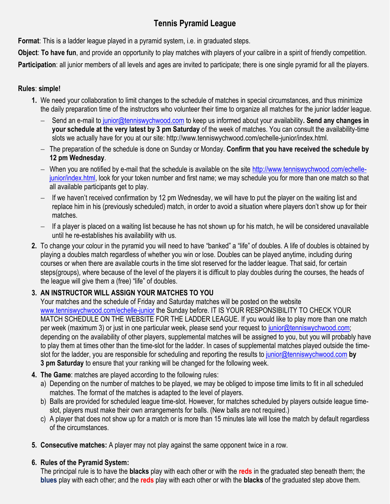## **Tennis Pyramid League**

**Format**: This is a ladder league played in a pyramid system, i.e. in graduated steps.

**Object**: **To have fun**, and provide an opportunity to play matches with players of your calibre in a spirit of friendly competition.

**Participation**: all junior members of all levels and ages are invited to participate; there is one single pyramid for all the players.

## **Rules**: **simple!**

- **1.** We need your collaboration to limit changes to the schedule of matches in special circumstances, and thus minimize the daily preparation time of the instructors who volunteer their time to organize all matches for the junior ladder league.
	- Send an e-mail to [junior@tenniswychwood.com](mailto:to%20junior@tenniswychwood.com) to keep us informed about your availability**. Send any changes in your schedule at the very latest by 3 pm Saturday** of the week of matches. You can consult the availability-time slots we actually have for you at our site: http://www.tenniswychwood.com/echelle-junior/index.html.
	- The preparation of the schedule is done on Sunday or Monday. **Confirm that you have received the schedule by 12 pm Wednesday**.
	- When you are notified by e-mail that the schedule is available on the site [http://www.tenniswychwood.com/echelle](http://www.tenniswychwood.com/echelle-junior/index.html)[junior/index.html,](http://www.tenniswychwood.com/echelle-junior/index.html) look for your token number and first name; we may schedule you for more than one match so that all available participants get to play.
	- $-$  If we haven't received confirmation by 12 pm Wednesday, we will have to put the player on the waiting list and replace him in his (previously scheduled) match, in order to avoid a situation where players don't show up for their matches.
	- $-$  If a player is placed on a waiting list because he has not shown up for his match, he will be considered unavailable until he re-establishes his availability with us.
- **2.** To change your colour in the pyramid you will need to have "banked" a "life" of doubles. A life of doubles is obtained by playing a doubles match regardless of whether you win or lose. Doubles can be played anytime, including during courses or when there are available courts in the time slot reserved for the ladder league. That said, for certain steps(groups), where because of the level of the players it is difficult to play doubles during the courses, the heads of the league will give them a (free) "life" of doubles.

## **3. AN INSTRUCTOR WILL ASSIGN YOUR MATCHES TO YOU**

Your matches and the schedule of Friday and Saturday matches will be posted on the website [www.tenniswychwood.com/echelle-junior](http://www.tenniswychwood.com/echelle-junior) the Sunday before. IT IS YOUR RESPONSIBILITY TO CHECK YOUR MATCH SCHEDULE ON THE WEBSITE FOR THE LADDER LEAGUE. If you would like to play more than one match per week (maximum 3) or just in one particular week, please send your request to [junior@tenniswychwood.com;](mailto:junior@tenniswychwood.com) depending on the availability of other players, supplemental matches will be assigned to you, but you will probably have to play them at times other than the time-slot for the ladder. In cases of supplemental matches played outside the timeslot for the ladder, you are responsible for scheduling and reporting the results to [junior@tenniswychwood.com](mailto:junior@tenniswychwood.com) **by 3 pm Saturday** to ensure that your ranking will be changed for the following week.

- **4. The Game**: matches are played according to the following rules:
	- a) Depending on the number of matches to be played, we may be obliged to impose time limits to fit in all scheduled matches. The format of the matches is adapted to the level of players.
	- b) Balls are provided for scheduled league time-slot. However, for matches scheduled by players outside league timeslot, players must make their own arrangements for balls. (New balls are not required.)
	- c) A player that does not show up for a match or is more than 15 minutes late will lose the match by default regardless of the circumstances.
- **5. Consecutive matches:** A player may not play against the same opponent twice in a row.

## **6. Rules of the Pyramid System:**

The principal rule is to have the **blacks** play with each other or with the **reds** in the graduated step beneath them; the **blues** play with each other; and the **reds** play with each other or with the **blacks** of the graduated step above them.